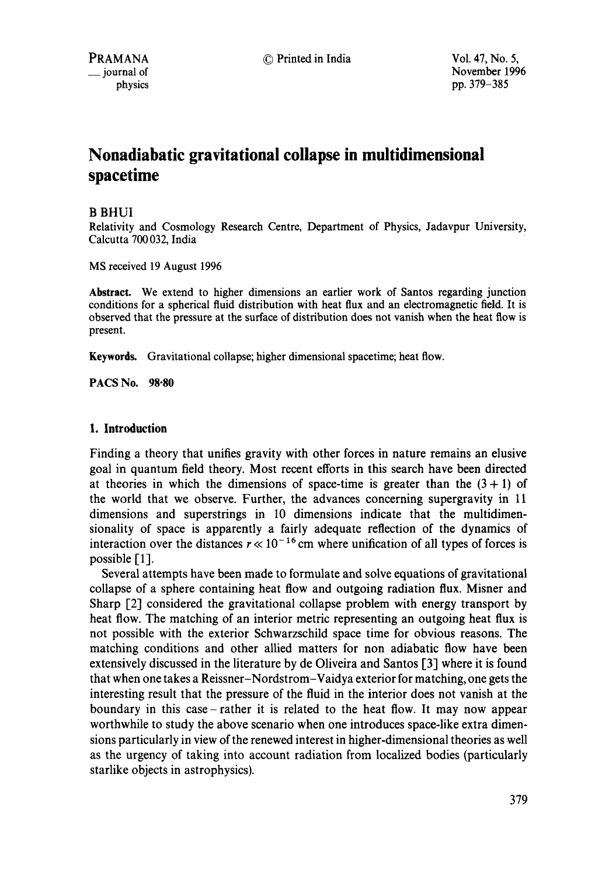# **Nonadiabatic gravitational collapse in multidimensional spacetime**

## B BHUI

Relativity and Cosmology Research Centre, Department of Physics, Jadavpur University, Calcutta 700 032, India

MS received 19 August 1996

**Abstract.** We extend to higher dimensions an earlier work of Santos regarding junction conditions for a spherical fluid distribution with heat flux and an electromagnetic field. It is observed that the pressure at the surface of distribution does not vanish when the heat flow is present.

Keywords. Gravitational collapse; higher dimensional spacetime; heat flow.

**PACS No. 98.80** 

## **1. Introduction**

Finding a theory that unifies gravity with other forces in nature remains an elusive goal in quantum field theory. Most recent efforts in this search have been directed at theories in which the dimensions of space-time is greater than the  $(3 + 1)$  of the world that we observe. Further, the advances concerning supergravity in 11 dimensions and superstrings in 10 dimensions indicate that the multidimensionality of space is apparently a fairly adequate reflection of the dynamics of interaction over the distances  $r \ll 10^{-16}$  cm where unification of all types of forces is possible  $[1]$ .

Several attempts have been made to formulate and solve equations of gravitational collapse of a sphere containing heat flow and outgoing radiation flux. Misner and Sharp [2] considered the gravitational collapse problem with energy transport by heat flow. The matching of an interior metric representing an outgoing heat flux is not possible with the exterior Schwarzschild space time for obvious reasons. The matching conditions and other allied matters for non adiabatic flow have been extensively discussed in the literature by de Oliveira and Santos [3] where it is found that when one takes a Reissner-Nordstrom-Vaidya exterior for matching, one gets the interesting result that the pressure of the fluid in the interior does not vanish at the boundary in this case- rather it is related to the heat flow. It may now appear worthwhile to study the above scenario when one introduces space-like extra dimensions particularly in view of the renewed interest in higher-dimensional theories as well as the urgency of taking into account radiation from localized bodies (particularly starlike objects in astrophysics).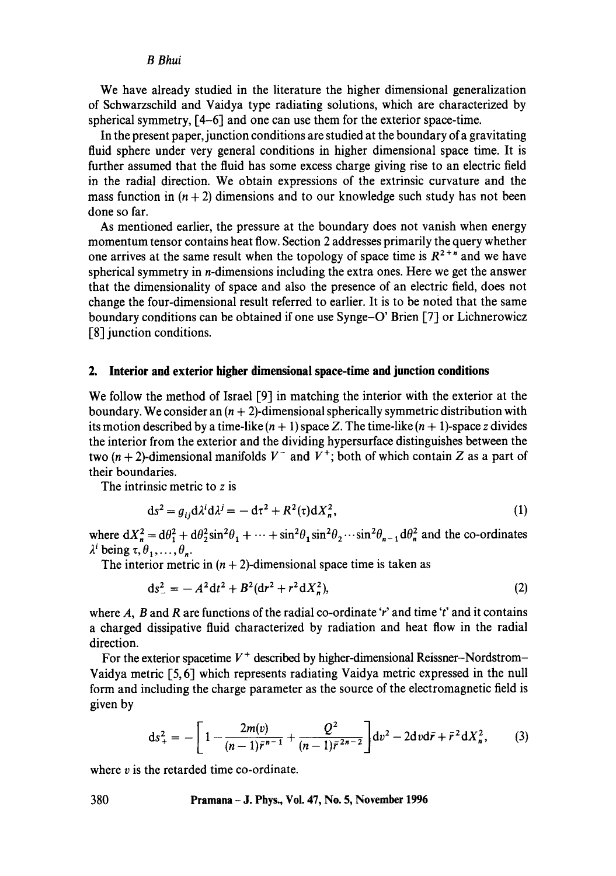### *B Bhui*

We have already studied in the literature the higher dimensional generalization of Schwarzschild and Vaidya type radiating solutions, which are characterized by spherical symmetry, [4-6] and one can use them for the exterior space-time.

In the present paper, junction conditions are studied at the boundary of a gravitating fluid sphere under very general conditions in higher dimensional space time. It is further assumed that the fluid has some excess charge giving rise to an electric field in the radial direction. We obtain expressions of the extrinsic curvature and the mass function in  $(n + 2)$  dimensions and to our knowledge such study has not been done so far.

As mentioned earlier, the pressure at the boundary does not vanish when energy momentum tensor contains heat flow. Section 2 addresses primarily the query whether one arrives at the same result when the topology of space time is  $R^{2+n}$  and we have spherical symmetry in n-dimensions including the extra ones. Here we get the answer that the dimensionality of space and also the presence of an electric field, does not change the four-dimensional result referred to earlier. It is to be noted that the same boundary conditions can be obtained if one use Synge-O' Brien [7] or Lichnerowicz [8] junction conditions.

### **2. Interior and exterior higher dimensional space-time and junction conditions**

We follow the method of Israel  $[9]$  in matching the interior with the exterior at the boundary. We consider an  $(n + 2)$ -dimensional spherically symmetric distribution with its motion described by a time-like  $(n + 1)$  space Z. The time-like  $(n + 1)$ -space z divides the interior from the exterior and the dividing hypersurface distinguishes between the two  $(n + 2)$ -dimensional manifolds  $V^-$  and  $V^+$ ; both of which contain Z as a part of their boundaries.

The intrinsic metric to z is

$$
ds^2 = g_{ij} d\lambda^i d\lambda^j = -d\tau^2 + R^2(\tau) dX_n^2, \qquad (1)
$$

where  $dX_n^2 = d\theta_1^2 + d\theta_2^2 \sin^2 \theta_1 + \cdots + \sin^2 \theta_1 \sin^2 \theta_2 \cdots \sin^2 \theta_{n-1} d\theta_n^2$  and the co-ordinates  $\lambda^i$  being  $\tau, \theta_1, \ldots, \theta_n$ .

The interior metric in  $(n + 2)$ -dimensional space time is taken as

$$
ds_{-}^{2} = -A^{2}dt^{2} + B^{2}(dr^{2} + r^{2}dX_{n}^{2}),
$$
\n(2)

where A, B and R are functions of the radial co-ordinate 'r' and time 't' and it contains a charged dissipative fluid characterized by radiation and heat flow in the radial direction.

For the exterior spacetime  $V^+$  described by higher-dimensional Reissner-Nordstrom-Vaidya metric [5, 6] which represents radiating Vaidya metric expressed in the null form and including the charge parameter as the source of the electromagnetic field is given by

$$
ds_{+}^{2} = -\left[1 - \frac{2m(v)}{(n-1)\bar{r}^{n-1}} + \frac{Q^{2}}{(n-1)\bar{r}^{2n-2}}\right]dv^{2} - 2dv d\bar{r} + \bar{r}^{2} dX_{n}^{2},
$$
 (3)

where  $v$  is the retarded time co-ordinate.

**380 Pramana - J. Phys., Vol. 47, No. 5, November 1996**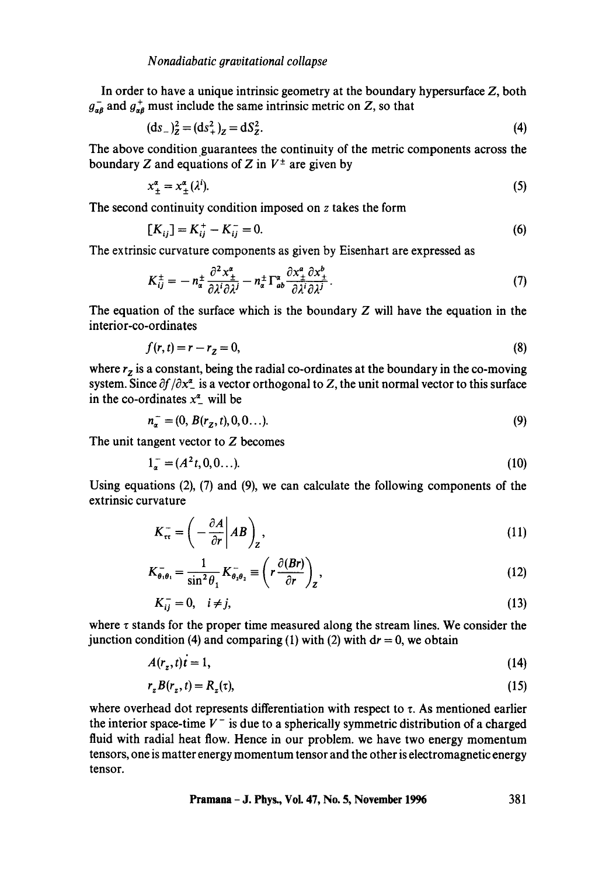In order to have a unique intrinsic geometry at the boundary hypersurface Z, both  $g_{\alpha R}^-$  and  $g_{\alpha R}^+$  must include the same intrinsic metric on Z, so that

$$
(\text{d}s_{-})_{\text{z}}^{2} = (\text{d}s_{+}^{2})_{\text{z}} = \text{d}S_{\text{z}}^{2}.
$$
 (4)

The above condition guarantees the continuity of the metric components across the boundary Z and equations of Z in  $V^{\pm}$  are given by

$$
x_{\pm}^{\alpha} = x_{\pm}^{\alpha} (\lambda^{i}). \tag{5}
$$

The second continuity condition imposed on z takes the form

$$
[K_{ij}] = K_{ij}^+ - K_{ij}^- = 0.
$$
 (6)

The extrinsic curvature components as given by Eisenhart are expressed as

$$
K_{ij}^{\pm} = -n_{\alpha}^{\pm} \frac{\partial^2 x_{\pm}^{\alpha}}{\partial \lambda^i \partial \lambda^j} - n_{\alpha}^{\pm} \Gamma_{ab}^{\alpha} \frac{\partial x_{\pm}^a \partial x_{\pm}^b}{\partial \lambda^i \partial \lambda^j}.
$$
 (7)

The equation of the surface which is the boundary  $Z$  will have the equation in the interior-co-ordinates

$$
f(r,t) = r - rz = 0,
$$
\n
$$
(8)
$$

where  $r_z$  is a constant, being the radial co-ordinates at the boundary in the co-moving system. Since  $\partial f/\partial x^2$  is a vector orthogonal to Z, the unit normal vector to this surface in the co-ordinates  $x^{\alpha}$  will be

$$
n_{\alpha}^- = (0, B(r_z, t), 0, 0...). \tag{9}
$$

The unit tangent vector to Z becomes

$$
1_{\alpha}^- = (A^2t, 0, 0...). \tag{10}
$$

Using equations (2), (7) and (9), we can calculate the following components of the extrinsic curvature

$$
K_{\tau\tau}^{-} = \left(-\frac{\partial A}{\partial r}\middle|AB\right)_{Z},\tag{11}
$$

$$
K_{\theta,\theta_1}^- = \frac{1}{\sin^2 \theta_1} K_{\theta_2 \theta_2}^- \equiv \left( r \frac{\partial (Br)}{\partial r} \right)_Z, \tag{12}
$$

$$
K_{ij}^- = 0, \quad i \neq j,\tag{13}
$$

where  $\tau$  stands for the proper time measured along the stream lines. We consider the junction condition (4) and comparing (1) with (2) with  $dr = 0$ , we obtain

$$
A(r_z, t)t = 1,\t\t(14)
$$

$$
r_z B(r_z, t) = R_z(\tau),\tag{15}
$$

where overhead dot represents differentiation with respect to  $\tau$ . As mentioned earlier the interior space-time  $V^-$  is due to a spherically symmetric distribution of a charged fluid with radial heat flow. Hence in our problem, we have two energy momentum tensors, one is matter energy momentum tensor and the other is electromagnetic energy tensor.

**Pramana - J. Phys., Vol. 47, No. 5, November 1996 381**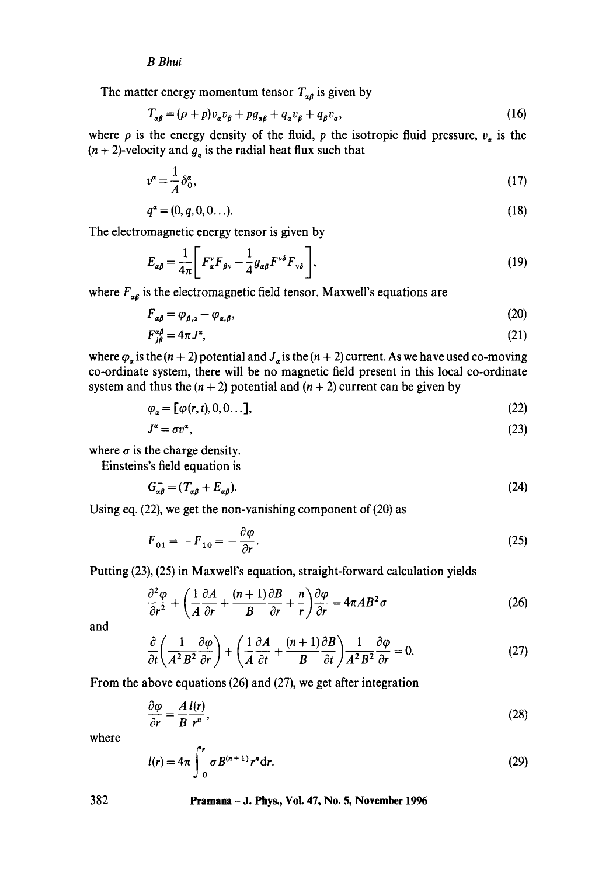#### *B Bhui*

The matter energy momentum tensor  $T_{\alpha\beta}$  is given by

$$
T_{\alpha\beta} = (\rho + p)v_{\alpha}v_{\beta} + pg_{\alpha\beta} + q_{\alpha}v_{\beta} + q_{\beta}v_{\alpha},\tag{16}
$$

where  $\rho$  is the energy density of the fluid, p the isotropic fluid pressure,  $v_{\alpha}$  is the  $(n + 2)$ -velocity and  $g_a$  is the radial heat flux such that

$$
v^{\alpha} = \frac{1}{A} \delta_0^{\alpha},\tag{17}
$$

$$
q^{\alpha} = (0, q, 0, 0...). \tag{18}
$$

The electromagnetic energy tensor is given by

$$
E_{\alpha\beta} = \frac{1}{4\pi} \left[ F_{\alpha}^{\nu} F_{\beta\nu} - \frac{1}{4} g_{\alpha\beta} F^{\nu\delta} F_{\nu\delta} \right],
$$
 (19)

where  $F_{\alpha\beta}$  is the electromagnetic field tensor. Maxwell's equations are

$$
F_{\alpha\beta} = \varphi_{\beta,\alpha} - \varphi_{\alpha,\beta},\tag{20}
$$

$$
F_{i\beta}^{\alpha\beta} = 4\pi J^{\alpha},\tag{21}
$$

where  $\varphi_a$  is the  $(n + 2)$  potential and  $J_a$  is the  $(n + 2)$  current. As we have used co-moving co-ordinate system, there will be no magnetic field present in this local co-ordinate system and thus the  $(n + 2)$  potential and  $(n + 2)$  current can be given by

$$
\varphi_{\alpha} = [\varphi(r, t), 0, 0 \dots], \tag{22}
$$

$$
J^a = \sigma v^a,\tag{23}
$$

where  $\sigma$  is the charge density.

Einsteins's field equation is

$$
G_{\alpha\beta}^- = (T_{\alpha\beta} + E_{\alpha\beta}).\tag{24}
$$

Using eq. (22), we get the non-vanishing component of (20) as

$$
F_{01} = -F_{10} = -\frac{\partial \varphi}{\partial r}.
$$
\n(25)

Putting (23), (25) in Maxwell's equation, straight-forward calculation yieJds

$$
\frac{\partial^2 \varphi}{\partial r^2} + \left(\frac{1}{A} \frac{\partial A}{\partial r} + \frac{(n+1)}{B} \frac{\partial B}{\partial r} + \frac{n}{r}\right) \frac{\partial \varphi}{\partial r} = 4\pi AB^2 \sigma \tag{26}
$$

and

$$
\frac{\partial}{\partial t} \left( \frac{1}{A^2 B^2} \frac{\partial \varphi}{\partial r} \right) + \left( \frac{1}{A} \frac{\partial A}{\partial t} + \frac{(n+1)}{B} \frac{\partial B}{\partial t} \right) \frac{1}{A^2 B^2} \frac{\partial \varphi}{\partial r} = 0. \tag{27}
$$

From the above equations (26) and (27), we get after integration

$$
\frac{\partial \varphi}{\partial r} = \frac{A l(r)}{B r^n},\tag{28}
$$

where

$$
l(r) = 4\pi \int_{0}^{r} \sigma B^{(n+1)} r^{n} dr.
$$
 (29)

382 **Pramana - J. Phys., Vol. 47, No. 5, November 1996**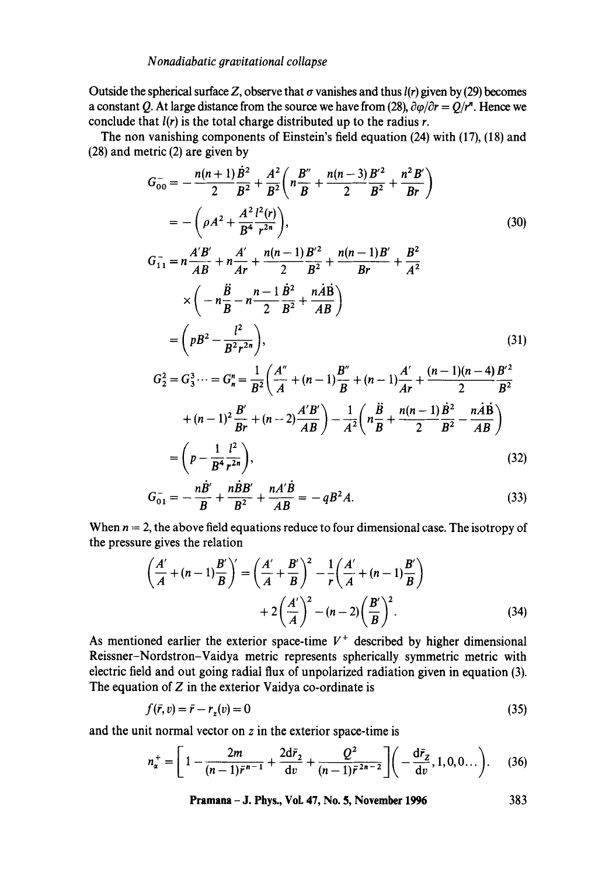Outside the spherical surface Z, observe that  $\sigma$  vanishes and thus  $l(r)$  given by (29) becomes a constant Q. At large distance from the source we have from (28),  $\partial \varphi / \partial r = Q/r^n$ . Hence we conclude that  $l(r)$  is the total charge distributed up to the radius r.

The non vanishing components of Einstein's field equation (24) with (17), (18) and (28) and metric (2) are given by

$$
G_{00}^{-} = -\frac{n(n+1)B^{2}}{2} + \frac{A^{2}}{B^{2}} \left( n\frac{B''}{B} + \frac{n(n-3)B'^{2}}{2} + \frac{n^{2}B'}{B^{2}} \right)
$$
  
\n
$$
= -\left( \rho A^{2} + \frac{A^{2}l^{2}(r)}{B^{4}} \right), \qquad (30)
$$
  
\n
$$
G_{11}^{-} = n\frac{A'B'}{AB} + n\frac{A'}{Ar} + \frac{n(n-1)B'^{2}}{2} + \frac{n(n-1)B'}{Br} + \frac{B^{2}}{A^{2}}
$$
  
\n
$$
\times \left( -n\frac{\ddot{B}}{B} - n\frac{n-1}{2}\frac{\dot{B}^{2}}{B^{2}} + \frac{n\dot{A}\dot{B}}{AB} \right)
$$
  
\n
$$
= \left( pB^{2} - \frac{l^{2}}{B^{2}r^{2n}} \right), \qquad (31)
$$
  
\n
$$
G_{2}^{2} = G_{3}^{3} \cdots = G_{n}^{n} = \frac{1}{B^{2}} \left( \frac{A''}{A} + (n-1)\frac{B''}{B} + (n-1)\frac{A'}{Ar} + \frac{(n-1)(n-4)B'^{2}}{2} \right)
$$

$$
B^{2} (A \t B^{2} + (n-1)^{2} \frac{B'}{Br} + (n-2) \frac{A'B'}{AB}) - \frac{1}{A^{2}} \left( n \frac{B}{B} + \frac{n(n-1)B^{2}}{2} - \frac{n \dot{A}B}{AB} \right)
$$
  

$$
\left( n \frac{1}{2} \right)
$$

$$
=\left(p-\frac{1}{B^4}\frac{l^2}{r^{2n}}\right),\tag{32}
$$

$$
G_{01}^{-} = -\frac{nB'}{B} + \frac{nBB'}{B^2} + \frac{nA'B}{AB} = -qB^2A.
$$
 (33)

When  $n = 2$ , the above field equations reduce to four dimensional case. The isotropy of the pressure gives the relation

$$
\left(\frac{A'}{A} + (n-1)\frac{B'}{B}\right)' = \left(\frac{A'}{A} + \frac{B'}{B}\right)^2 - \frac{1}{r}\left(\frac{A'}{A} + (n-1)\frac{B'}{B}\right) + 2\left(\frac{A'}{A}\right)^2 - (n-2)\left(\frac{B'}{B}\right)^2.
$$
\n(34)

As mentioned earlier the exterior space-time  $V^+$  described by higher dimensional Reissner-Nordstron-Vaidya metric represents spherically symmetric metric with electric field and out going radial flux of unpolarized radiation given in equation (3). The equation of  $Z$  in the exterior Vaidya co-ordinate is

$$
f(\bar{r}, v) = \bar{r} - r_z(v) = 0\tag{35}
$$

and the unit normal vector on z in the exterior space-time is

$$
n_{\alpha}^{+} = \left[1 - \frac{2m}{(n-1)\bar{r}^{n-1}} + \frac{2d\bar{r}_2}{dv} + \frac{Q^2}{(n-1)\bar{r}^{2n-2}}\right] \left(-\frac{d\bar{r}_2}{dv}, 1, 0, 0...\right). \tag{36}
$$

**Pramana - J. Phys., Voi. 47, No. 5, November 1996 383**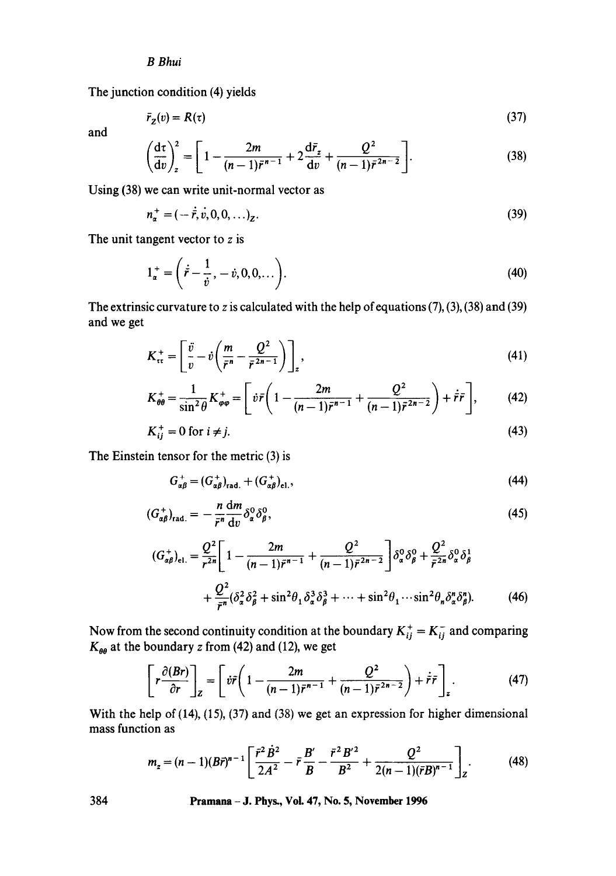## *B Bhui*

The junction condition (4) yields

$$
\bar{r}_z(v) = R(\tau) \tag{37}
$$

and

$$
\left(\frac{d\tau}{dv}\right)_z^2 = \left[1 - \frac{2m}{(n-1)\bar{r}^{n-1}} + 2\frac{d\bar{r}_z}{dv} + \frac{Q^2}{(n-1)\bar{r}^{2n-2}}\right].
$$
\n(38)

Using (38) we can write unit-normal vector as

$$
n_{\alpha}^{+} = (-\dot{\bar{r}}, \dot{v}, 0, 0, \ldots)_{Z}.
$$
 (39)

The unit tangent vector to  $z$  is

$$
1_{\alpha}^{+} = \left(\dot{\vec{r}} - \frac{1}{\dot{v}}, -\dot{v}, 0, 0, \dots\right). \tag{40}
$$

The extrinsic curvature to z is calculated with the help of equations  $(7)$ ,  $(3)$ ,  $(38)$  and  $(39)$ and we get

$$
K_{\tau\tau}^{+} = \left[\frac{\ddot{v}}{v} - \dot{v}\left(\frac{m}{\bar{r}^{n}} - \frac{Q^{2}}{\bar{r}^{2n-1}}\right)\right]_{z},
$$
\n
$$
K_{\tau\tau}^{+} = \frac{1}{\tau^{2n}} K_{\tau\tau}^{+} = \left[\dot{v}\bar{r}\left(1 - \frac{2m}{\tau^{2n}} + \frac{Q^{2}}{\tau^{2n}}\right) + \dot{r}\bar{r}\right],
$$
\n(42)

$$
K_{\theta\theta}^{+} = \frac{1}{\sin^{2}\theta} K_{\varphi\varphi}^{+} = \left[ \dot{v}\bar{r} \left( 1 - \frac{2m}{(n-1)\bar{r}^{n-1}} + \frac{Q^{2}}{(n-1)\bar{r}^{2n-2}} \right) + \dot{\bar{r}}\bar{r} \right],
$$
 (42)

$$
K_{ij}^+ = 0 \text{ for } i \neq j. \tag{43}
$$

The Einstein tensor for the metric (3) is

$$
G_{\alpha\beta}^+ = (G_{\alpha\beta}^+)_{\text{rad.}} + (G_{\alpha\beta}^+)_{\text{el.}},
$$
\n(44)

$$
(G_{\alpha\beta}^+)_{\text{rad.}} = -\frac{n}{\bar{r}^n} \frac{\mathrm{d}m}{\mathrm{d}v} \delta^0_\alpha \delta^0_\beta, \tag{45}
$$

$$
(G_{\alpha\beta}^+)_\text{el.} = \frac{Q^2}{r^{2n}} \left[ 1 - \frac{2m}{(n-1)\bar{r}^{n-1}} + \frac{Q^2}{(n-1)\bar{r}^{2n-2}} \right] \delta_\alpha^0 \delta_\beta^0 + \frac{Q^2}{\bar{r}^{2n}} \delta_\alpha^0 \delta_\beta^1 + \frac{Q^2}{\bar{r}^{2n}} (\delta_\alpha^2 \delta_\beta^2 + \sin^2 \theta_1 \delta_\alpha^3 \delta_\beta^3 + \dots + \sin^2 \theta_1 \cdots \sin^2 \theta_n \delta_\alpha^n \delta_\beta^n). \tag{46}
$$

Now from the second continuity condition at the boundary  $K_{ij}^+ = K_{ij}^-$  and comparing  $K_{\theta\theta}$  at the boundary z from (42) and (12), we get

$$
\left[r\frac{\partial (Br)}{\partial r}\right]_Z = \left[\dot{v}\dot{r}\left(1 - \frac{2m}{(n-1)\bar{r}^{n-1}} + \frac{Q^2}{(n-1)\bar{r}^{2n-2}}\right) + \dot{r}\dot{r}\right]_z.
$$
 (47)

With the help of (14), (15), (37) and (38) we get an expression for higher dimensional mass function as

$$
m_z = (n-1)(B\vec{r})^{n-1} \left[ \frac{\vec{r}^2 \dot{B}^2}{2A^2} - \vec{r} \frac{B'}{B} - \frac{\vec{r}^2 B'^2}{B^2} + \frac{Q^2}{2(n-1)(\vec{r}B)^{n-1}} \right]_Z.
$$
 (48)

**384 Pramana - J. Phys., Vol. 47, No. 5, November 1996**